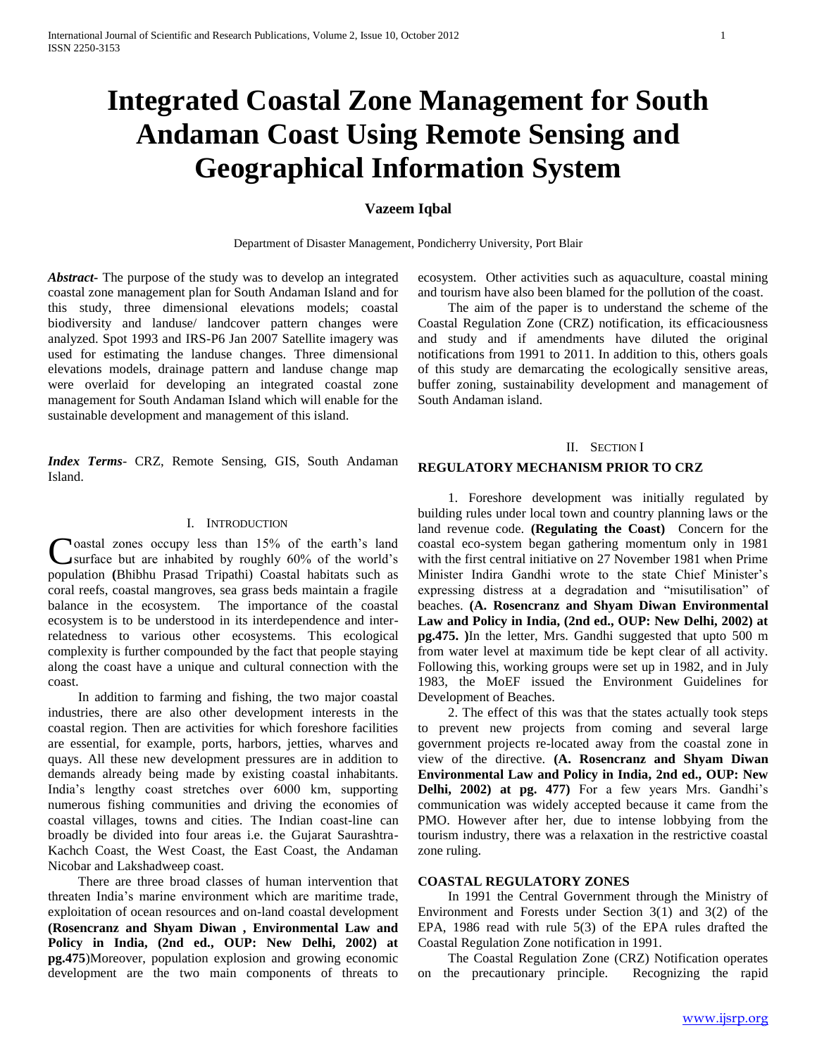# **Integrated Coastal Zone Management for South Andaman Coast Using Remote Sensing and Geographical Information System**

# **Vazeem Iqbal**

Department of Disaster Management, Pondicherry University, Port Blair

*Abstract***-** The purpose of the study was to develop an integrated coastal zone management plan for South Andaman Island and for this study, three dimensional elevations models; coastal biodiversity and landuse/ landcover pattern changes were analyzed. Spot 1993 and IRS-P6 Jan 2007 Satellite imagery was used for estimating the landuse changes. Three dimensional elevations models, drainage pattern and landuse change map were overlaid for developing an integrated coastal zone management for South Andaman Island which will enable for the sustainable development and management of this island.

*Index Terms*- CRZ, Remote Sensing, GIS, South Andaman Island.

#### I. INTRODUCTION

**Noastal zones occupy less than 15% of the earth's land** surface but are inhabited by roughly 60% of the world"s Coastal zones occupy less than 15% of the earth's land<br>
surface but are inhabited by roughly 60% of the world's<br>
population (Bhibhu Prasad Tripathi) Coastal habitats such as coral reefs, coastal mangroves, sea grass beds maintain a fragile balance in the ecosystem. The importance of the coastal ecosystem is to be understood in its interdependence and interrelatedness to various other ecosystems. This ecological complexity is further compounded by the fact that people staying along the coast have a unique and cultural connection with the coast.

 In addition to farming and fishing, the two major coastal industries, there are also other development interests in the coastal region. Then are activities for which foreshore facilities are essential, for example, ports, harbors, jetties, wharves and quays. All these new development pressures are in addition to demands already being made by existing coastal inhabitants. India"s lengthy coast stretches over 6000 km, supporting numerous fishing communities and driving the economies of coastal villages, towns and cities. The Indian coast-line can broadly be divided into four areas i.e. the Gujarat Saurashtra-Kachch Coast, the West Coast, the East Coast, the Andaman Nicobar and Lakshadweep coast.

 There are three broad classes of human intervention that threaten India"s marine environment which are maritime trade, exploitation of ocean resources and on-land coastal development **(Rosencranz and Shyam Diwan , Environmental Law and Policy in India, (2nd ed., OUP: New Delhi, 2002) at pg.475**)Moreover, population explosion and growing economic development are the two main components of threats to

ecosystem. Other activities such as aquaculture, coastal mining and tourism have also been blamed for the pollution of the coast.

 The aim of the paper is to understand the scheme of the Coastal Regulation Zone (CRZ) notification, its efficaciousness and study and if amendments have diluted the original notifications from 1991 to 2011. In addition to this, others goals of this study are demarcating the ecologically sensitive areas, buffer zoning, sustainability development and management of South Andaman island.

#### II. SECTION I

#### **REGULATORY MECHANISM PRIOR TO CRZ**

 1. Foreshore development was initially regulated by building rules under local town and country planning laws or the land revenue code. **(Regulating the Coast)** Concern for the coastal eco-system began gathering momentum only in 1981 with the first central initiative on 27 November 1981 when Prime Minister Indira Gandhi wrote to the state Chief Minister"s expressing distress at a degradation and "misutilisation" of beaches. **(A. Rosencranz and Shyam Diwan Environmental Law and Policy in India, (2nd ed., OUP: New Delhi, 2002) at pg.475. )**In the letter, Mrs. Gandhi suggested that upto 500 m from water level at maximum tide be kept clear of all activity. Following this, working groups were set up in 1982, and in July 1983, the MoEF issued the Environment Guidelines for Development of Beaches.

 2. The effect of this was that the states actually took steps to prevent new projects from coming and several large government projects re-located away from the coastal zone in view of the directive. **(A. Rosencranz and Shyam Diwan Environmental Law and Policy in India, 2nd ed., OUP: New Delhi, 2002) at pg. 477)** For a few years Mrs. Gandhi"s communication was widely accepted because it came from the PMO. However after her, due to intense lobbying from the tourism industry, there was a relaxation in the restrictive coastal zone ruling.

# **COASTAL REGULATORY ZONES**

 In 1991 the Central Government through the Ministry of Environment and Forests under Section 3(1) and 3(2) of the EPA, 1986 read with rule 5(3) of the EPA rules drafted the Coastal Regulation Zone notification in 1991.

 The Coastal Regulation Zone (CRZ) Notification operates on the precautionary principle. Recognizing the rapid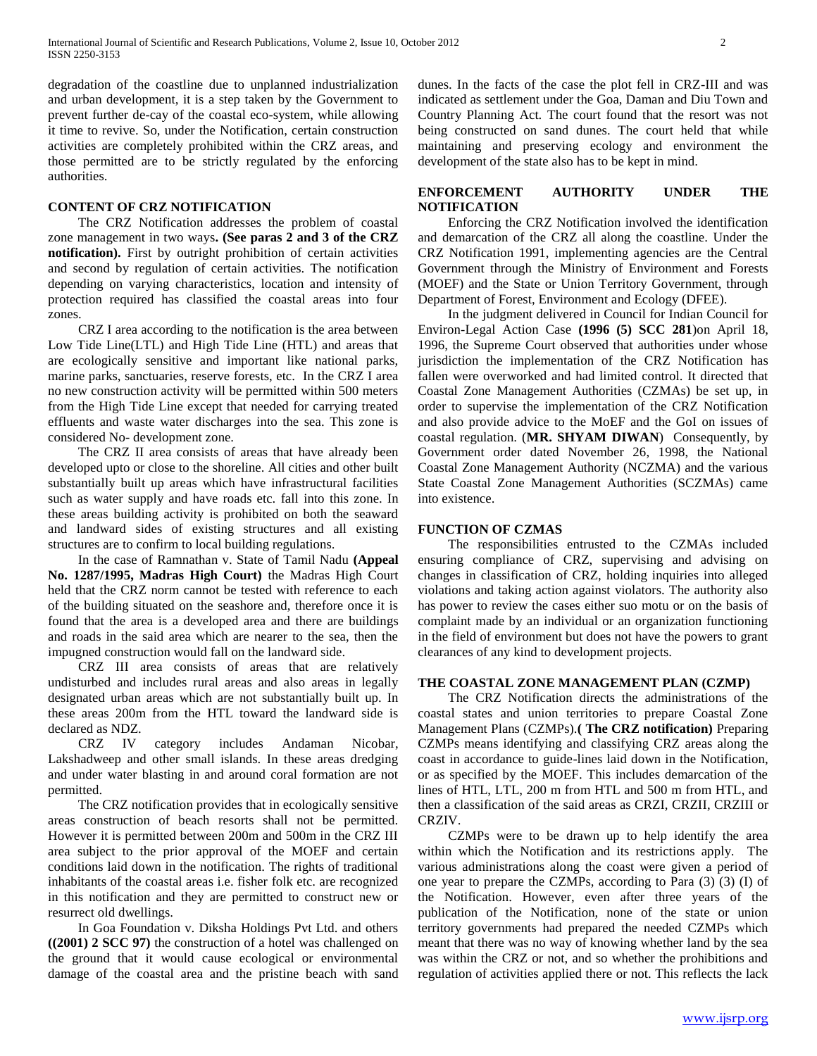degradation of the coastline due to unplanned industrialization and urban development, it is a step taken by the Government to prevent further de-cay of the coastal eco-system, while allowing it time to revive. So, under the Notification, certain construction activities are completely prohibited within the CRZ areas, and those permitted are to be strictly regulated by the enforcing authorities.

#### **CONTENT OF CRZ NOTIFICATION**

 The CRZ Notification addresses the problem of coastal zone management in two ways**. (See paras 2 and 3 of the CRZ notification).** First by outright prohibition of certain activities and second by regulation of certain activities. The notification depending on varying characteristics, location and intensity of protection required has classified the coastal areas into four zones.

 CRZ I area according to the notification is the area between Low Tide Line(LTL) and High Tide Line (HTL) and areas that are ecologically sensitive and important like national parks, marine parks, sanctuaries, reserve forests, etc. In the CRZ I area no new construction activity will be permitted within 500 meters from the High Tide Line except that needed for carrying treated effluents and waste water discharges into the sea. This zone is considered No- development zone.

 The CRZ II area consists of areas that have already been developed upto or close to the shoreline. All cities and other built substantially built up areas which have infrastructural facilities such as water supply and have roads etc. fall into this zone. In these areas building activity is prohibited on both the seaward and landward sides of existing structures and all existing structures are to confirm to local building regulations.

 In the case of Ramnathan v. State of Tamil Nadu **(Appeal No. 1287/1995, Madras High Court)** the Madras High Court held that the CRZ norm cannot be tested with reference to each of the building situated on the seashore and, therefore once it is found that the area is a developed area and there are buildings and roads in the said area which are nearer to the sea, then the impugned construction would fall on the landward side.

 CRZ III area consists of areas that are relatively undisturbed and includes rural areas and also areas in legally designated urban areas which are not substantially built up. In these areas 200m from the HTL toward the landward side is declared as NDZ.

 CRZ IV category includes Andaman Nicobar, Lakshadweep and other small islands. In these areas dredging and under water blasting in and around coral formation are not permitted.

 The CRZ notification provides that in ecologically sensitive areas construction of beach resorts shall not be permitted. However it is permitted between 200m and 500m in the CRZ III area subject to the prior approval of the MOEF and certain conditions laid down in the notification. The rights of traditional inhabitants of the coastal areas i.e. fisher folk etc. are recognized in this notification and they are permitted to construct new or resurrect old dwellings.

 In Goa Foundation v. Diksha Holdings Pvt Ltd. and others **((2001) 2 SCC 97)** the construction of a hotel was challenged on the ground that it would cause ecological or environmental damage of the coastal area and the pristine beach with sand dunes. In the facts of the case the plot fell in CRZ-III and was indicated as settlement under the Goa, Daman and Diu Town and Country Planning Act. The court found that the resort was not being constructed on sand dunes. The court held that while maintaining and preserving ecology and environment the development of the state also has to be kept in mind.

# **ENFORCEMENT AUTHORITY UNDER THE NOTIFICATION**

 Enforcing the CRZ Notification involved the identification and demarcation of the CRZ all along the coastline. Under the CRZ Notification 1991, implementing agencies are the Central Government through the Ministry of Environment and Forests (MOEF) and the State or Union Territory Government, through Department of Forest, Environment and Ecology (DFEE).

 In the judgment delivered in Council for Indian Council for Environ-Legal Action Case **(1996 (5) SCC 281**)on April 18, 1996, the Supreme Court observed that authorities under whose jurisdiction the implementation of the CRZ Notification has fallen were overworked and had limited control. It directed that Coastal Zone Management Authorities (CZMAs) be set up, in order to supervise the implementation of the CRZ Notification and also provide advice to the MoEF and the GoI on issues of coastal regulation. (**MR. SHYAM DIWAN**) Consequently, by Government order dated November 26, 1998, the National Coastal Zone Management Authority (NCZMA) and the various State Coastal Zone Management Authorities (SCZMAs) came into existence.

## **FUNCTION OF CZMAS**

 The responsibilities entrusted to the CZMAs included ensuring compliance of CRZ, supervising and advising on changes in classification of CRZ, holding inquiries into alleged violations and taking action against violators. The authority also has power to review the cases either suo motu or on the basis of complaint made by an individual or an organization functioning in the field of environment but does not have the powers to grant clearances of any kind to development projects.

# **THE COASTAL ZONE MANAGEMENT PLAN (CZMP)**

 The CRZ Notification directs the administrations of the coastal states and union territories to prepare Coastal Zone Management Plans (CZMPs).**( The CRZ notification)** Preparing CZMPs means identifying and classifying CRZ areas along the coast in accordance to guide-lines laid down in the Notification, or as specified by the MOEF. This includes demarcation of the lines of HTL, LTL, 200 m from HTL and 500 m from HTL, and then a classification of the said areas as CRZI, CRZII, CRZIII or CRZIV.

 CZMPs were to be drawn up to help identify the area within which the Notification and its restrictions apply. The various administrations along the coast were given a period of one year to prepare the CZMPs, according to Para (3) (3) (I) of the Notification. However, even after three years of the publication of the Notification, none of the state or union territory governments had prepared the needed CZMPs which meant that there was no way of knowing whether land by the sea was within the CRZ or not, and so whether the prohibitions and regulation of activities applied there or not. This reflects the lack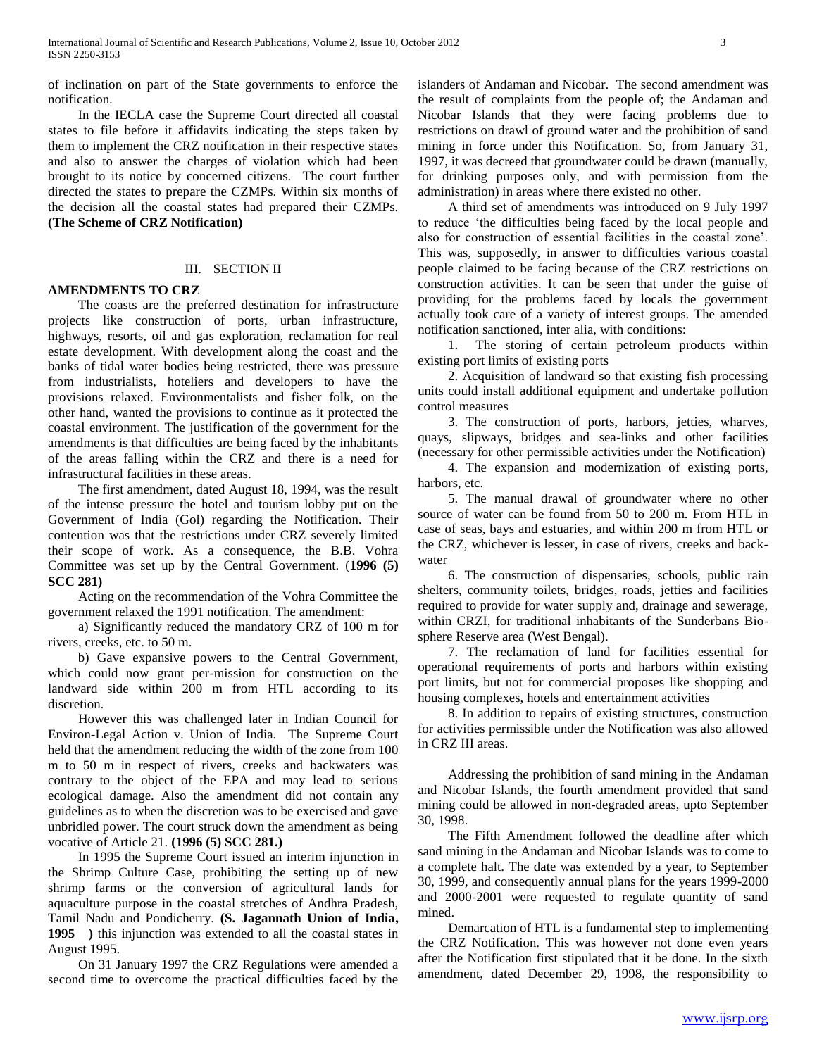of inclination on part of the State governments to enforce the notification.

 In the IECLA case the Supreme Court directed all coastal states to file before it affidavits indicating the steps taken by them to implement the CRZ notification in their respective states and also to answer the charges of violation which had been brought to its notice by concerned citizens. The court further directed the states to prepare the CZMPs. Within six months of the decision all the coastal states had prepared their CZMPs. **(The Scheme of CRZ Notification)**

# III. SECTION II

# **AMENDMENTS TO CRZ**

 The coasts are the preferred destination for infrastructure projects like construction of ports, urban infrastructure, highways, resorts, oil and gas exploration, reclamation for real estate development. With development along the coast and the banks of tidal water bodies being restricted, there was pressure from industrialists, hoteliers and developers to have the provisions relaxed. Environmentalists and fisher folk, on the other hand, wanted the provisions to continue as it protected the coastal environment. The justification of the government for the amendments is that difficulties are being faced by the inhabitants of the areas falling within the CRZ and there is a need for infrastructural facilities in these areas.

 The first amendment, dated August 18, 1994, was the result of the intense pressure the hotel and tourism lobby put on the Government of India (Gol) regarding the Notification. Their contention was that the restrictions under CRZ severely limited their scope of work. As a consequence, the B.B. Vohra Committee was set up by the Central Government. (**1996 (5) SCC 281)**

 Acting on the recommendation of the Vohra Committee the government relaxed the 1991 notification. The amendment:

 a) Significantly reduced the mandatory CRZ of 100 m for rivers, creeks, etc. to 50 m.

 b) Gave expansive powers to the Central Government, which could now grant per-mission for construction on the landward side within 200 m from HTL according to its discretion.

 However this was challenged later in Indian Council for Environ-Legal Action v. Union of India. The Supreme Court held that the amendment reducing the width of the zone from 100 m to 50 m in respect of rivers, creeks and backwaters was contrary to the object of the EPA and may lead to serious ecological damage. Also the amendment did not contain any guidelines as to when the discretion was to be exercised and gave unbridled power. The court struck down the amendment as being vocative of Article 21. **(1996 (5) SCC 281.)**

 In 1995 the Supreme Court issued an interim injunction in the Shrimp Culture Case, prohibiting the setting up of new shrimp farms or the conversion of agricultural lands for aquaculture purpose in the coastal stretches of Andhra Pradesh, Tamil Nadu and Pondicherry. **(S. Jagannath Union of India, 1995 )** this injunction was extended to all the coastal states in August 1995.

 On 31 January 1997 the CRZ Regulations were amended a second time to overcome the practical difficulties faced by the

islanders of Andaman and Nicobar. The second amendment was the result of complaints from the people of; the Andaman and Nicobar Islands that they were facing problems due to restrictions on drawl of ground water and the prohibition of sand mining in force under this Notification. So, from January 31, 1997, it was decreed that groundwater could be drawn (manually, for drinking purposes only, and with permission from the administration) in areas where there existed no other.

 A third set of amendments was introduced on 9 July 1997 to reduce "the difficulties being faced by the local people and also for construction of essential facilities in the coastal zone". This was, supposedly, in answer to difficulties various coastal people claimed to be facing because of the CRZ restrictions on construction activities. It can be seen that under the guise of providing for the problems faced by locals the government actually took care of a variety of interest groups. The amended notification sanctioned, inter alia, with conditions:

 1. The storing of certain petroleum products within existing port limits of existing ports

 2. Acquisition of landward so that existing fish processing units could install additional equipment and undertake pollution control measures

 3. The construction of ports, harbors, jetties, wharves, quays, slipways, bridges and sea-links and other facilities (necessary for other permissible activities under the Notification)

 4. The expansion and modernization of existing ports, harbors, etc.

 5. The manual drawal of groundwater where no other source of water can be found from 50 to 200 m. From HTL in case of seas, bays and estuaries, and within 200 m from HTL or the CRZ, whichever is lesser, in case of rivers, creeks and backwater

 6. The construction of dispensaries, schools, public rain shelters, community toilets, bridges, roads, jetties and facilities required to provide for water supply and, drainage and sewerage, within CRZI, for traditional inhabitants of the Sunderbans Biosphere Reserve area (West Bengal).

 7. The reclamation of land for facilities essential for operational requirements of ports and harbors within existing port limits, but not for commercial proposes like shopping and housing complexes, hotels and entertainment activities

 8. In addition to repairs of existing structures, construction for activities permissible under the Notification was also allowed in CRZ III areas.

 Addressing the prohibition of sand mining in the Andaman and Nicobar Islands, the fourth amendment provided that sand mining could be allowed in non-degraded areas, upto September 30, 1998.

 The Fifth Amendment followed the deadline after which sand mining in the Andaman and Nicobar Islands was to come to a complete halt. The date was extended by a year, to September 30, 1999, and consequently annual plans for the years 1999-2000 and 2000-2001 were requested to regulate quantity of sand mined.

 Demarcation of HTL is a fundamental step to implementing the CRZ Notification. This was however not done even years after the Notification first stipulated that it be done. In the sixth amendment, dated December 29, 1998, the responsibility to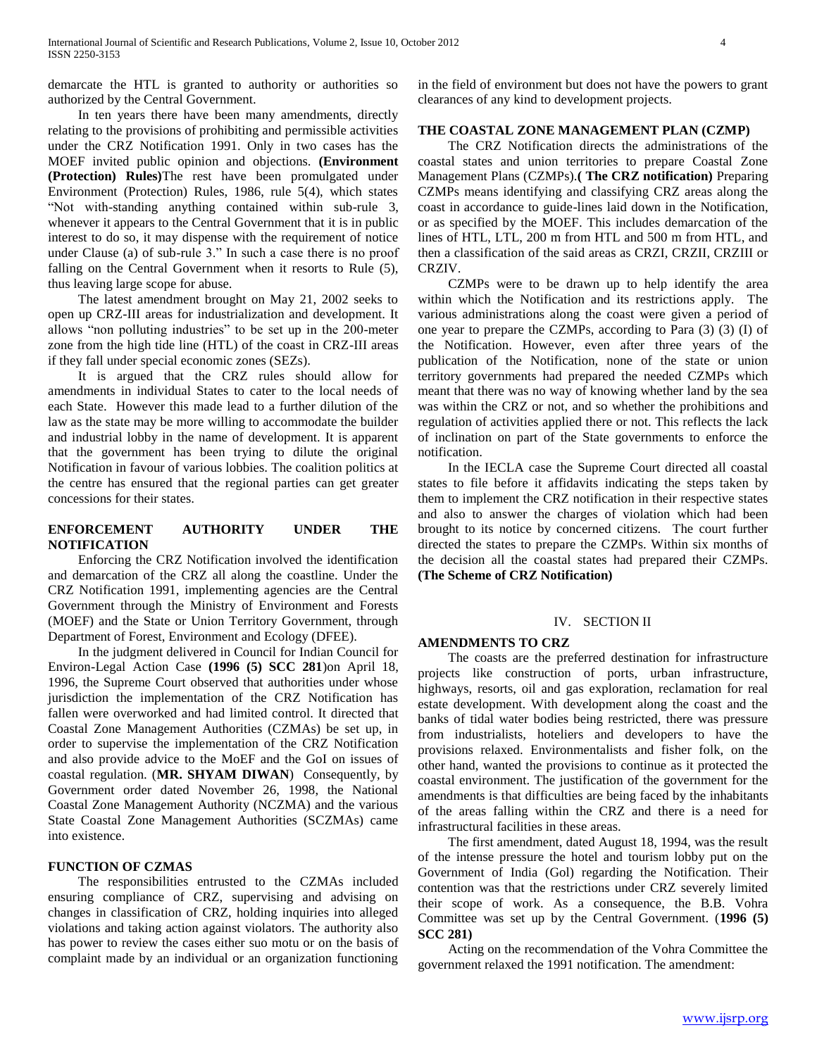demarcate the HTL is granted to authority or authorities so authorized by the Central Government.

 In ten years there have been many amendments, directly relating to the provisions of prohibiting and permissible activities under the CRZ Notification 1991. Only in two cases has the MOEF invited public opinion and objections. **(Environment (Protection) Rules)**The rest have been promulgated under Environment (Protection) Rules, 1986, rule 5(4), which states "Not with-standing anything contained within sub-rule 3, whenever it appears to the Central Government that it is in public interest to do so, it may dispense with the requirement of notice under Clause (a) of sub-rule 3." In such a case there is no proof falling on the Central Government when it resorts to Rule  $(5)$ , thus leaving large scope for abuse.

 The latest amendment brought on May 21, 2002 seeks to open up CRZ-III areas for industrialization and development. It allows "non polluting industries" to be set up in the 200-meter zone from the high tide line (HTL) of the coast in CRZ-III areas if they fall under special economic zones (SEZs).

 It is argued that the CRZ rules should allow for amendments in individual States to cater to the local needs of each State. However this made lead to a further dilution of the law as the state may be more willing to accommodate the builder and industrial lobby in the name of development. It is apparent that the government has been trying to dilute the original Notification in favour of various lobbies. The coalition politics at the centre has ensured that the regional parties can get greater concessions for their states.

# **ENFORCEMENT AUTHORITY UNDER THE NOTIFICATION**

 Enforcing the CRZ Notification involved the identification and demarcation of the CRZ all along the coastline. Under the CRZ Notification 1991, implementing agencies are the Central Government through the Ministry of Environment and Forests (MOEF) and the State or Union Territory Government, through Department of Forest, Environment and Ecology (DFEE).

 In the judgment delivered in Council for Indian Council for Environ-Legal Action Case **(1996 (5) SCC 281**)on April 18, 1996, the Supreme Court observed that authorities under whose jurisdiction the implementation of the CRZ Notification has fallen were overworked and had limited control. It directed that Coastal Zone Management Authorities (CZMAs) be set up, in order to supervise the implementation of the CRZ Notification and also provide advice to the MoEF and the GoI on issues of coastal regulation. (**MR. SHYAM DIWAN**) Consequently, by Government order dated November 26, 1998, the National Coastal Zone Management Authority (NCZMA) and the various State Coastal Zone Management Authorities (SCZMAs) came into existence.

# **FUNCTION OF CZMAS**

 The responsibilities entrusted to the CZMAs included ensuring compliance of CRZ, supervising and advising on changes in classification of CRZ, holding inquiries into alleged violations and taking action against violators. The authority also has power to review the cases either suo motu or on the basis of complaint made by an individual or an organization functioning

in the field of environment but does not have the powers to grant clearances of any kind to development projects.

# **THE COASTAL ZONE MANAGEMENT PLAN (CZMP)**

 The CRZ Notification directs the administrations of the coastal states and union territories to prepare Coastal Zone Management Plans (CZMPs).**( The CRZ notification)** Preparing CZMPs means identifying and classifying CRZ areas along the coast in accordance to guide-lines laid down in the Notification, or as specified by the MOEF. This includes demarcation of the lines of HTL, LTL, 200 m from HTL and 500 m from HTL, and then a classification of the said areas as CRZI, CRZII, CRZIII or CRZIV.

 CZMPs were to be drawn up to help identify the area within which the Notification and its restrictions apply. The various administrations along the coast were given a period of one year to prepare the CZMPs, according to Para (3) (3) (I) of the Notification. However, even after three years of the publication of the Notification, none of the state or union territory governments had prepared the needed CZMPs which meant that there was no way of knowing whether land by the sea was within the CRZ or not, and so whether the prohibitions and regulation of activities applied there or not. This reflects the lack of inclination on part of the State governments to enforce the notification.

 In the IECLA case the Supreme Court directed all coastal states to file before it affidavits indicating the steps taken by them to implement the CRZ notification in their respective states and also to answer the charges of violation which had been brought to its notice by concerned citizens. The court further directed the states to prepare the CZMPs. Within six months of the decision all the coastal states had prepared their CZMPs. **(The Scheme of CRZ Notification)**

# IV. SECTION II

#### **AMENDMENTS TO CRZ**

 The coasts are the preferred destination for infrastructure projects like construction of ports, urban infrastructure, highways, resorts, oil and gas exploration, reclamation for real estate development. With development along the coast and the banks of tidal water bodies being restricted, there was pressure from industrialists, hoteliers and developers to have the provisions relaxed. Environmentalists and fisher folk, on the other hand, wanted the provisions to continue as it protected the coastal environment. The justification of the government for the amendments is that difficulties are being faced by the inhabitants of the areas falling within the CRZ and there is a need for infrastructural facilities in these areas.

 The first amendment, dated August 18, 1994, was the result of the intense pressure the hotel and tourism lobby put on the Government of India (Gol) regarding the Notification. Their contention was that the restrictions under CRZ severely limited their scope of work. As a consequence, the B.B. Vohra Committee was set up by the Central Government. (**1996 (5) SCC 281)**

 Acting on the recommendation of the Vohra Committee the government relaxed the 1991 notification. The amendment: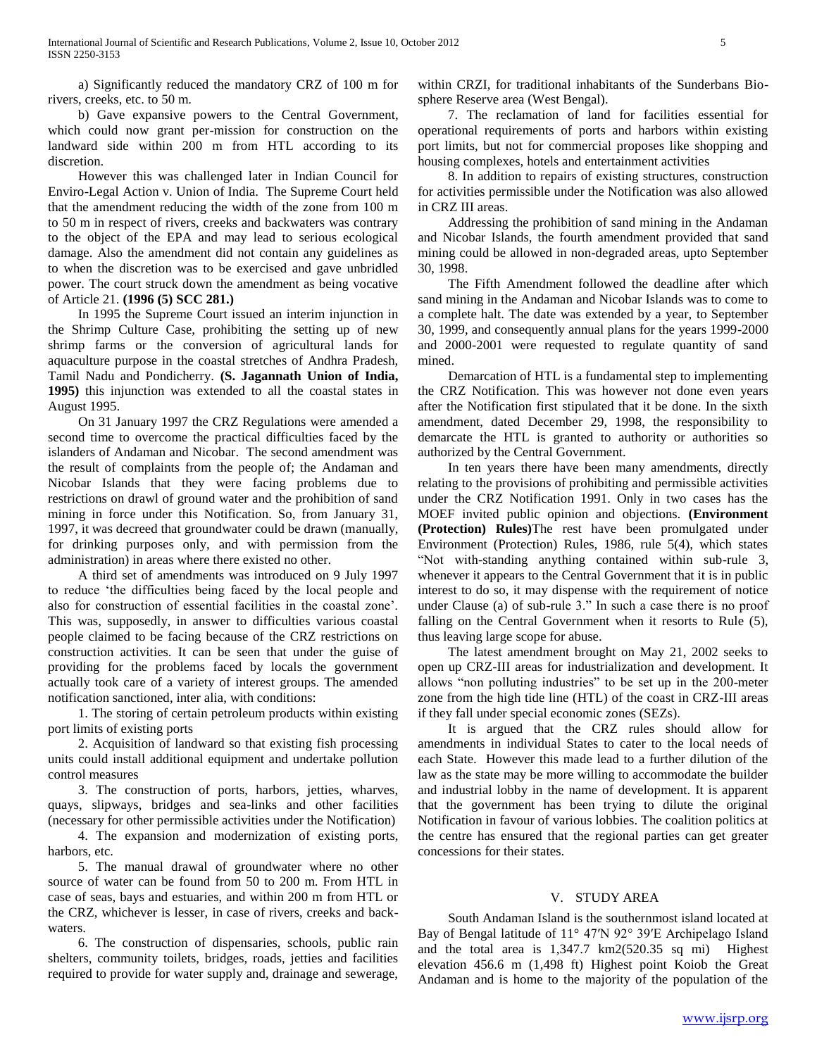a) Significantly reduced the mandatory CRZ of 100 m for rivers, creeks, etc. to 50 m.

 b) Gave expansive powers to the Central Government, which could now grant per-mission for construction on the landward side within 200 m from HTL according to its discretion.

 However this was challenged later in Indian Council for Enviro-Legal Action v. Union of India. The Supreme Court held that the amendment reducing the width of the zone from 100 m to 50 m in respect of rivers, creeks and backwaters was contrary to the object of the EPA and may lead to serious ecological damage. Also the amendment did not contain any guidelines as to when the discretion was to be exercised and gave unbridled power. The court struck down the amendment as being vocative of Article 21. **(1996 (5) SCC 281.)**

 In 1995 the Supreme Court issued an interim injunction in the Shrimp Culture Case, prohibiting the setting up of new shrimp farms or the conversion of agricultural lands for aquaculture purpose in the coastal stretches of Andhra Pradesh, Tamil Nadu and Pondicherry. **(S. Jagannath Union of India, 1995)** this injunction was extended to all the coastal states in August 1995.

 On 31 January 1997 the CRZ Regulations were amended a second time to overcome the practical difficulties faced by the islanders of Andaman and Nicobar. The second amendment was the result of complaints from the people of; the Andaman and Nicobar Islands that they were facing problems due to restrictions on drawl of ground water and the prohibition of sand mining in force under this Notification. So, from January 31, 1997, it was decreed that groundwater could be drawn (manually, for drinking purposes only, and with permission from the administration) in areas where there existed no other.

 A third set of amendments was introduced on 9 July 1997 to reduce "the difficulties being faced by the local people and also for construction of essential facilities in the coastal zone". This was, supposedly, in answer to difficulties various coastal people claimed to be facing because of the CRZ restrictions on construction activities. It can be seen that under the guise of providing for the problems faced by locals the government actually took care of a variety of interest groups. The amended notification sanctioned, inter alia, with conditions:

 1. The storing of certain petroleum products within existing port limits of existing ports

 2. Acquisition of landward so that existing fish processing units could install additional equipment and undertake pollution control measures

 3. The construction of ports, harbors, jetties, wharves, quays, slipways, bridges and sea-links and other facilities (necessary for other permissible activities under the Notification)

 4. The expansion and modernization of existing ports, harbors, etc.

 5. The manual drawal of groundwater where no other source of water can be found from 50 to 200 m. From HTL in case of seas, bays and estuaries, and within 200 m from HTL or the CRZ, whichever is lesser, in case of rivers, creeks and backwaters.

 6. The construction of dispensaries, schools, public rain shelters, community toilets, bridges, roads, jetties and facilities required to provide for water supply and, drainage and sewerage,

within CRZI, for traditional inhabitants of the Sunderbans Biosphere Reserve area (West Bengal).

 7. The reclamation of land for facilities essential for operational requirements of ports and harbors within existing port limits, but not for commercial proposes like shopping and housing complexes, hotels and entertainment activities

 8. In addition to repairs of existing structures, construction for activities permissible under the Notification was also allowed in CRZ III areas.

 Addressing the prohibition of sand mining in the Andaman and Nicobar Islands, the fourth amendment provided that sand mining could be allowed in non-degraded areas, upto September 30, 1998.

 The Fifth Amendment followed the deadline after which sand mining in the Andaman and Nicobar Islands was to come to a complete halt. The date was extended by a year, to September 30, 1999, and consequently annual plans for the years 1999-2000 and 2000-2001 were requested to regulate quantity of sand mined.

 Demarcation of HTL is a fundamental step to implementing the CRZ Notification. This was however not done even years after the Notification first stipulated that it be done. In the sixth amendment, dated December 29, 1998, the responsibility to demarcate the HTL is granted to authority or authorities so authorized by the Central Government.

 In ten years there have been many amendments, directly relating to the provisions of prohibiting and permissible activities under the CRZ Notification 1991. Only in two cases has the MOEF invited public opinion and objections. **(Environment (Protection) Rules)**The rest have been promulgated under Environment (Protection) Rules, 1986, rule 5(4), which states "Not with-standing anything contained within sub-rule 3, whenever it appears to the Central Government that it is in public interest to do so, it may dispense with the requirement of notice under Clause (a) of sub-rule 3." In such a case there is no proof falling on the Central Government when it resorts to Rule (5), thus leaving large scope for abuse.

 The latest amendment brought on May 21, 2002 seeks to open up CRZ-III areas for industrialization and development. It allows "non polluting industries" to be set up in the 200-meter zone from the high tide line (HTL) of the coast in CRZ-III areas if they fall under special economic zones (SEZs).

 It is argued that the CRZ rules should allow for amendments in individual States to cater to the local needs of each State. However this made lead to a further dilution of the law as the state may be more willing to accommodate the builder and industrial lobby in the name of development. It is apparent that the government has been trying to dilute the original Notification in favour of various lobbies. The coalition politics at the centre has ensured that the regional parties can get greater concessions for their states.

#### V. STUDY AREA

 South Andaman Island is the southernmost island located at Bay of Bengal latitude of 11° 47′N 92° 39′E Archipelago Island and the total area is 1,347.7 km2(520.35 sq mi) Highest elevation 456.6 m (1,498 ft) Highest point Koiob the Great Andaman and is home to the majority of the population of the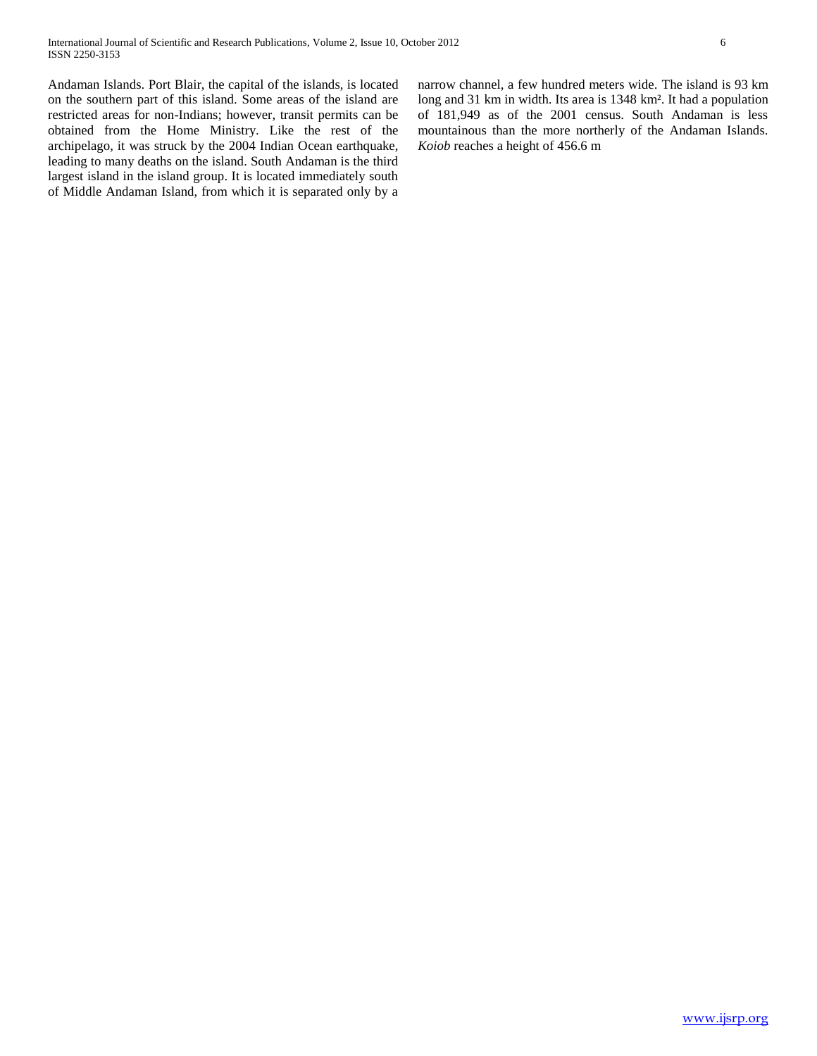Andaman Islands. Port Blair, the capital of the islands, is located on the southern part of this island. Some areas of the island are restricted areas for non-Indians; however, transit permits can be obtained from the Home Ministry. Like the rest of the archipelago, it was struck by the 2004 Indian Ocean earthquake, leading to many deaths on the island. South Andaman is the third largest island in the island group. It is located immediately south of Middle Andaman Island, from which it is separated only by a narrow channel, a few hundred meters wide. The island is 93 km long and 31 km in width. Its area is 1348 km². It had a population of 181,949 as of the 2001 census. South Andaman is less mountainous than the more northerly of the Andaman Islands. *Koiob* reaches a height of 456.6 m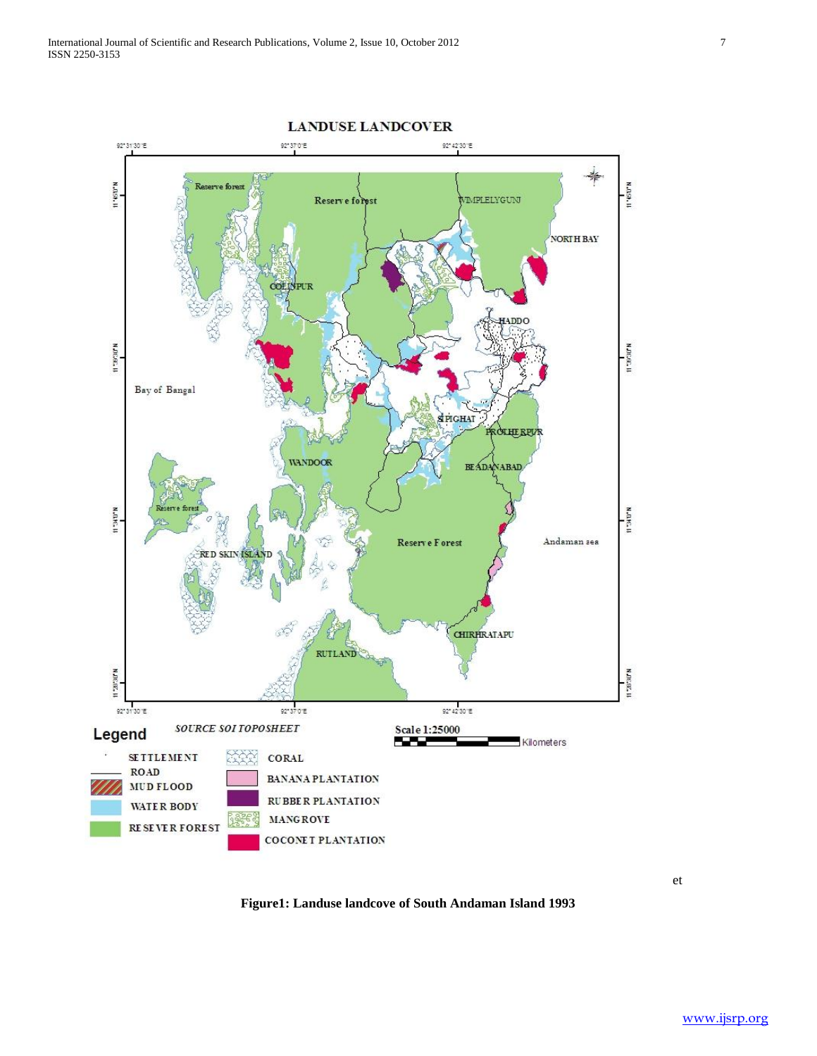

**Figure1: Landuse landcove of South Andaman Island 1993**

et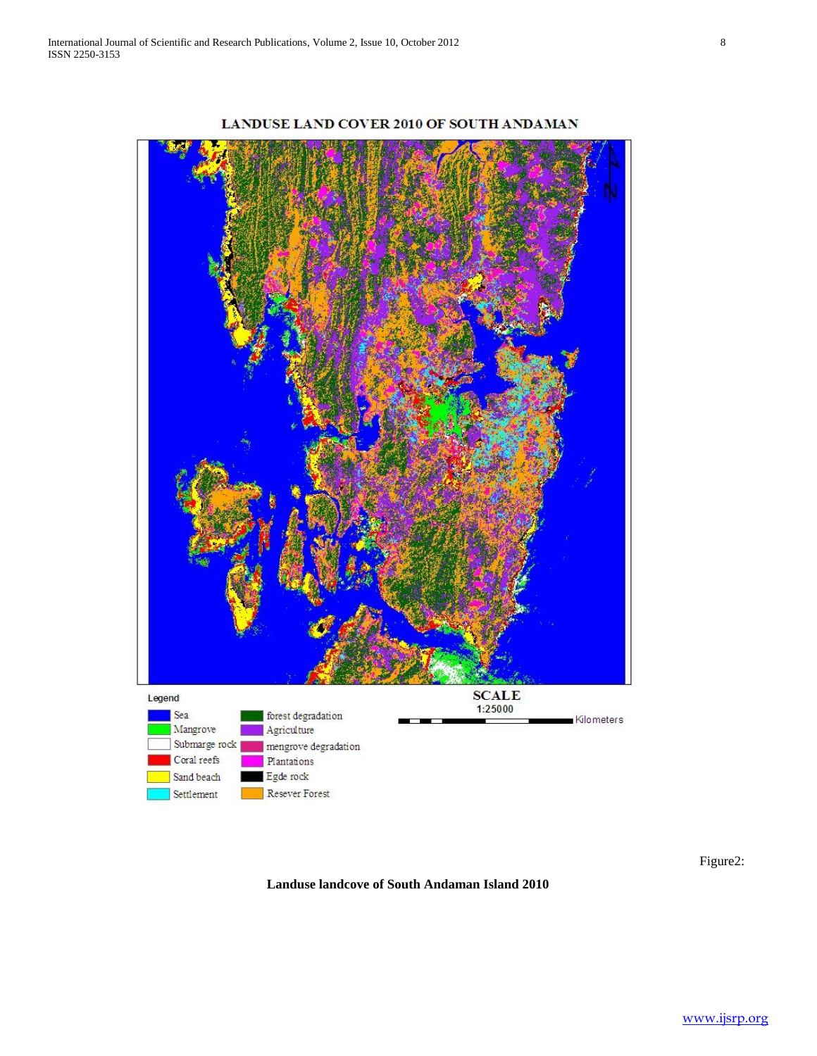

LANDUSE LAND COVER 2010 OF SOUTH ANDAMAN

Figure2:

**Landuse landcove of South Andaman Island 2010**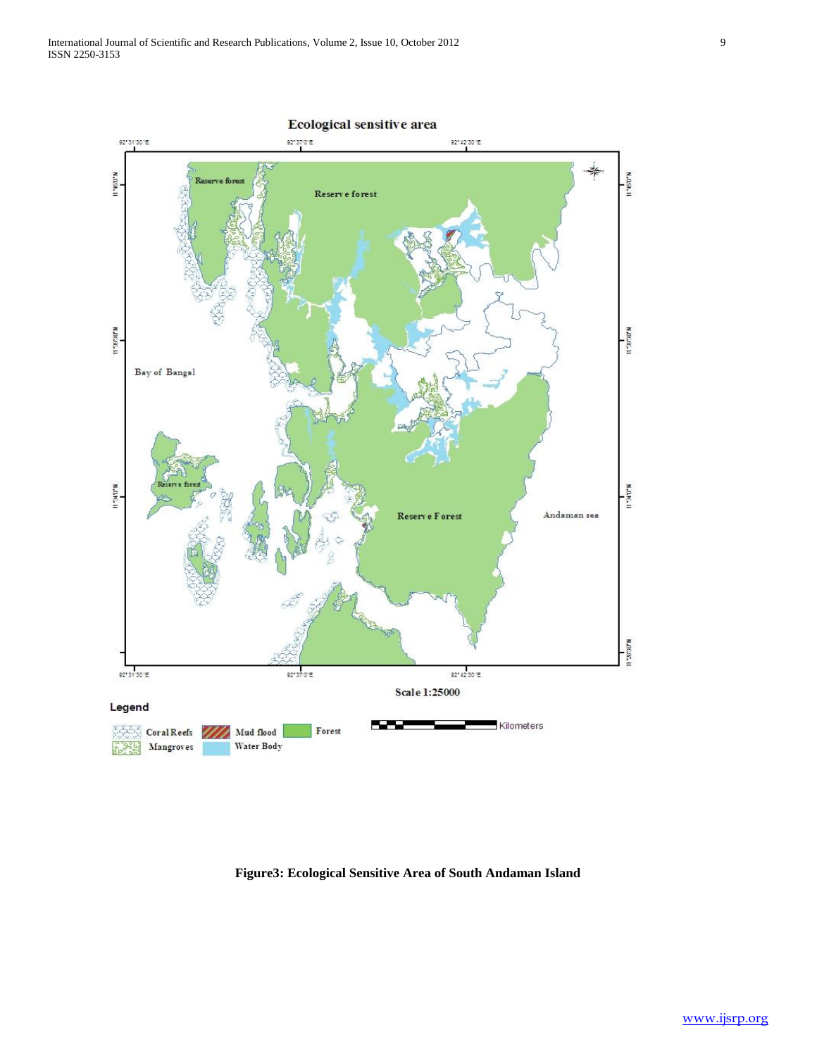

# **Figure3: Ecological Sensitive Area of South Andaman Island**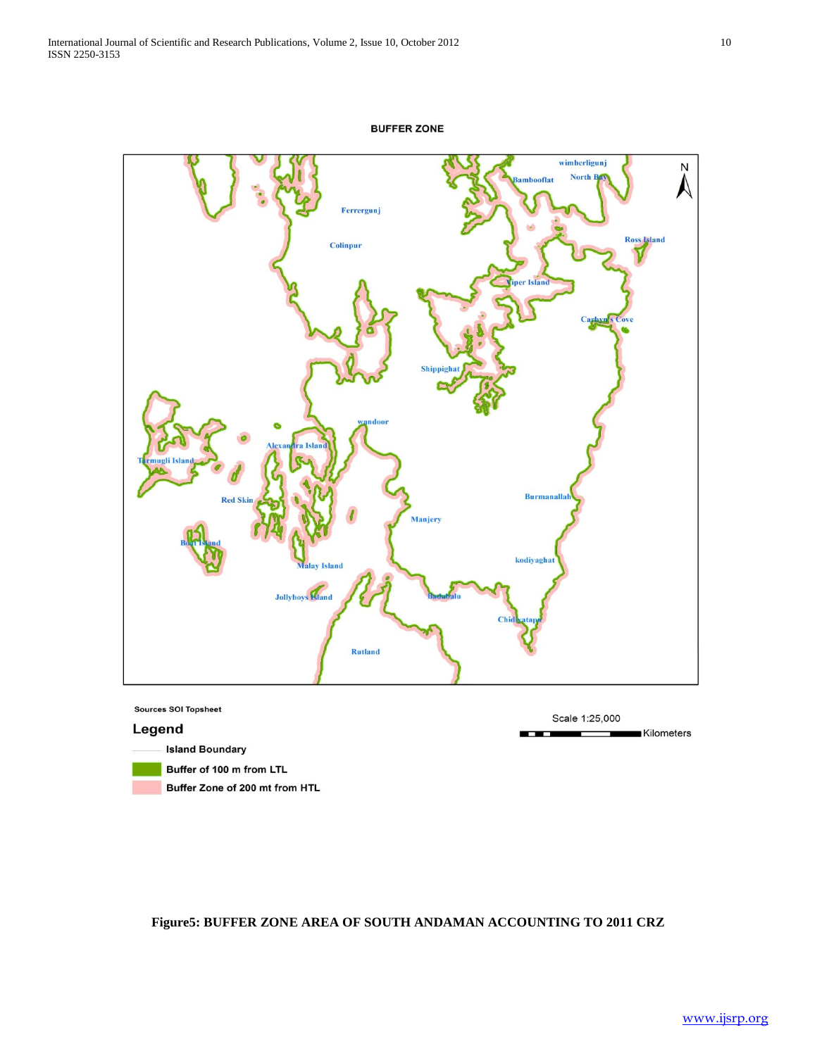



**Island Boundary** 

- Buffer of 100 m from LTL
- Buffer Zone of 200 mt from HTL

**Figure5: BUFFER ZONE AREA OF SOUTH ANDAMAN ACCOUNTING TO 2011 CRZ**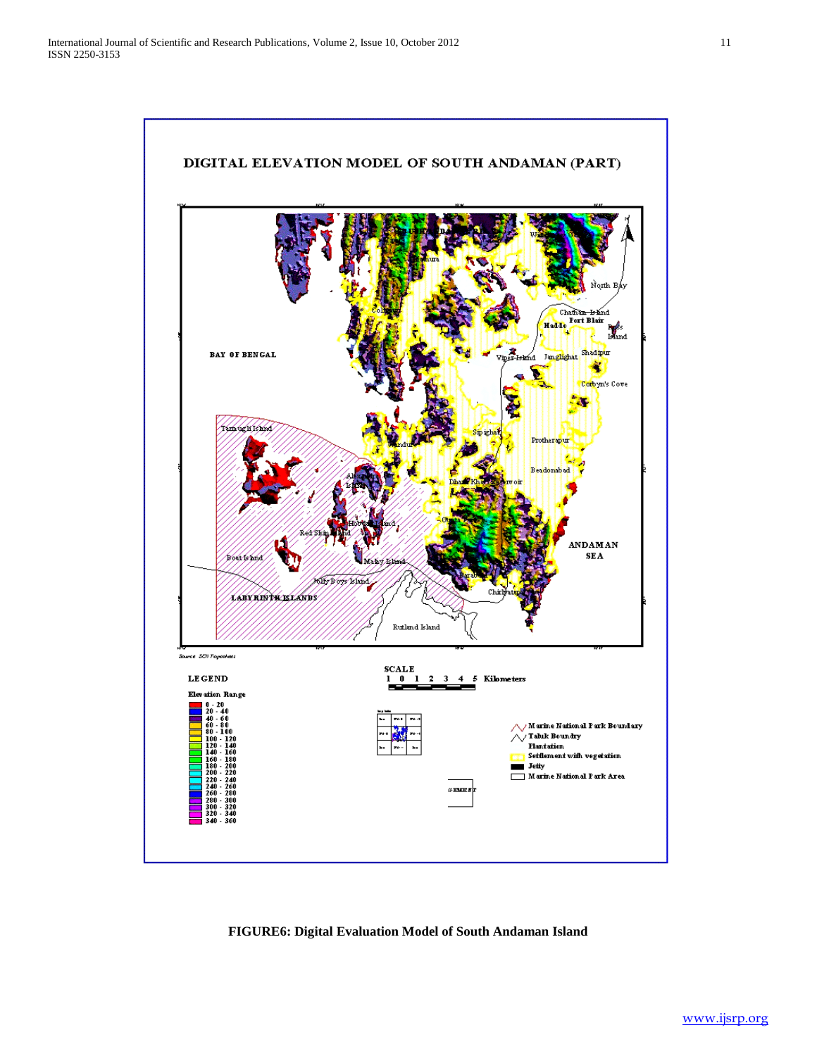

# **FIGURE6: Digital Evaluation Model of South Andaman Island**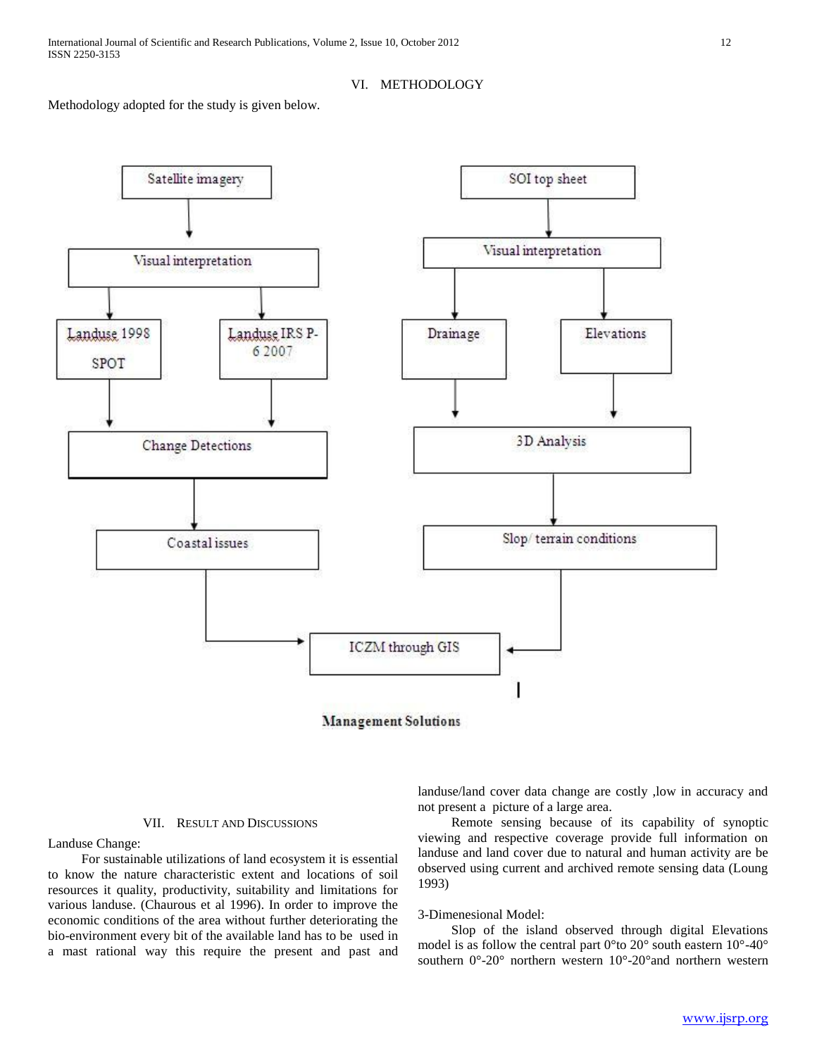## VI. METHODOLOGY

Methodology adopted for the study is given below.



**Management Solutions** 

#### VII. RESULT AND DISCUSSIONS

Landuse Change:

 For sustainable utilizations of land ecosystem it is essential to know the nature characteristic extent and locations of soil resources it quality, productivity, suitability and limitations for various landuse. (Chaurous et al 1996). In order to improve the economic conditions of the area without further deteriorating the bio-environment every bit of the available land has to be used in a mast rational way this require the present and past and

landuse/land cover data change are costly ,low in accuracy and not present a picture of a large area.

 Remote sensing because of its capability of synoptic viewing and respective coverage provide full information on landuse and land cover due to natural and human activity are be observed using current and archived remote sensing data (Loung 1993)

#### 3-Dimenesional Model:

 Slop of the island observed through digital Elevations model is as follow the central part 0°to 20° south eastern 10°-40° southern 0°-20° northern western 10°-20°and northern western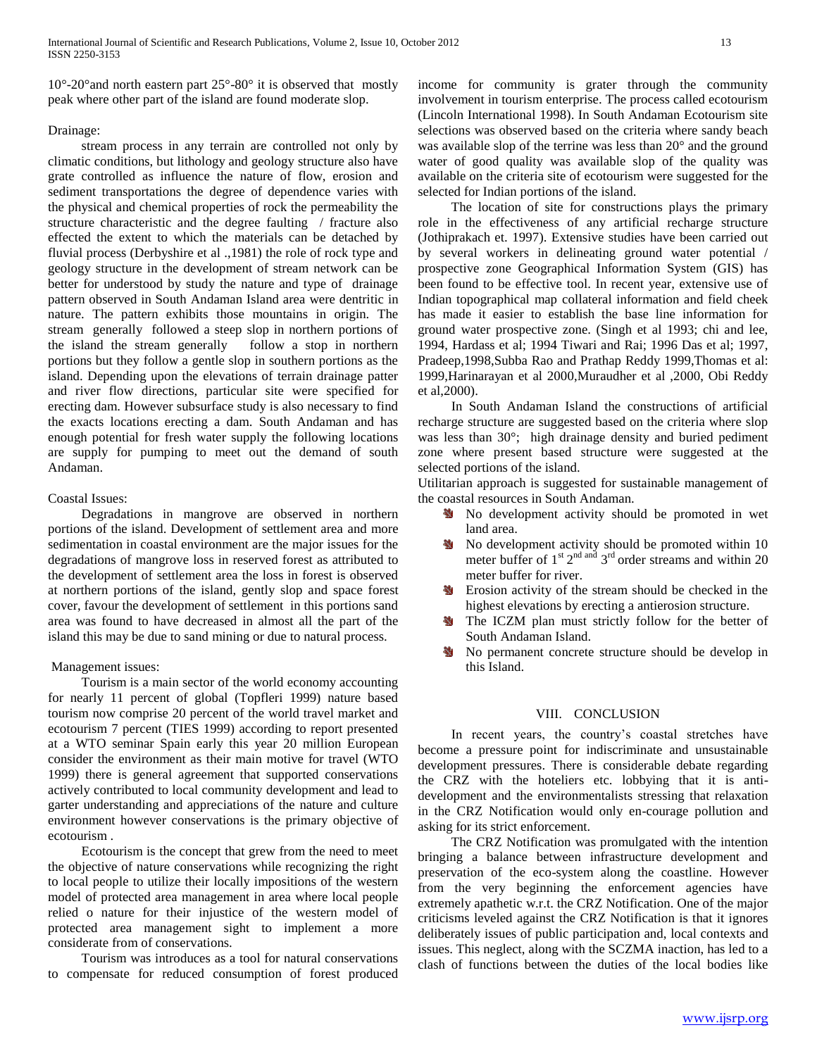$10^{\circ}$ -20° and north eastern part  $25^{\circ}$ -80° it is observed that mostly peak where other part of the island are found moderate slop.

# Drainage:

 stream process in any terrain are controlled not only by climatic conditions, but lithology and geology structure also have grate controlled as influence the nature of flow, erosion and sediment transportations the degree of dependence varies with the physical and chemical properties of rock the permeability the structure characteristic and the degree faulting / fracture also effected the extent to which the materials can be detached by fluvial process (Derbyshire et al .,1981) the role of rock type and geology structure in the development of stream network can be better for understood by study the nature and type of drainage pattern observed in South Andaman Island area were dentritic in nature. The pattern exhibits those mountains in origin. The stream generally followed a steep slop in northern portions of the island the stream generally follow a stop in northern portions but they follow a gentle slop in southern portions as the island. Depending upon the elevations of terrain drainage patter and river flow directions, particular site were specified for erecting dam. However subsurface study is also necessary to find the exacts locations erecting a dam. South Andaman and has enough potential for fresh water supply the following locations are supply for pumping to meet out the demand of south Andaman.

# Coastal Issues:

 Degradations in mangrove are observed in northern portions of the island. Development of settlement area and more sedimentation in coastal environment are the major issues for the degradations of mangrove loss in reserved forest as attributed to the development of settlement area the loss in forest is observed at northern portions of the island, gently slop and space forest cover, favour the development of settlement in this portions sand area was found to have decreased in almost all the part of the island this may be due to sand mining or due to natural process.

# Management issues:

 Tourism is a main sector of the world economy accounting for nearly 11 percent of global (Topfleri 1999) nature based tourism now comprise 20 percent of the world travel market and ecotourism 7 percent (TIES 1999) according to report presented at a WTO seminar Spain early this year 20 million European consider the environment as their main motive for travel (WTO 1999) there is general agreement that supported conservations actively contributed to local community development and lead to garter understanding and appreciations of the nature and culture environment however conservations is the primary objective of ecotourism .

 Ecotourism is the concept that grew from the need to meet the objective of nature conservations while recognizing the right to local people to utilize their locally impositions of the western model of protected area management in area where local people relied o nature for their injustice of the western model of protected area management sight to implement a more considerate from of conservations.

 Tourism was introduces as a tool for natural conservations to compensate for reduced consumption of forest produced

income for community is grater through the community involvement in tourism enterprise. The process called ecotourism (Lincoln International 1998). In South Andaman Ecotourism site selections was observed based on the criteria where sandy beach was available slop of the terrine was less than 20° and the ground water of good quality was available slop of the quality was available on the criteria site of ecotourism were suggested for the selected for Indian portions of the island.

 The location of site for constructions plays the primary role in the effectiveness of any artificial recharge structure (Jothiprakach et. 1997). Extensive studies have been carried out by several workers in delineating ground water potential / prospective zone Geographical Information System (GIS) has been found to be effective tool. In recent year, extensive use of Indian topographical map collateral information and field cheek has made it easier to establish the base line information for ground water prospective zone. (Singh et al 1993; chi and lee, 1994, Hardass et al; 1994 Tiwari and Rai; 1996 Das et al; 1997, Pradeep,1998,Subba Rao and Prathap Reddy 1999,Thomas et al: 1999,Harinarayan et al 2000,Muraudher et al ,2000, Obi Reddy et al,2000).

 In South Andaman Island the constructions of artificial recharge structure are suggested based on the criteria where slop was less than 30°; high drainage density and buried pediment zone where present based structure were suggested at the selected portions of the island.

Utilitarian approach is suggested for sustainable management of the coastal resources in South Andaman.

- No development activity should be promoted in wet land area.
- 到 No development activity should be promoted within 10 meter buffer of  $1^{\text{st}} 2^{\text{nd and}} 3^{\text{rd}}$  order streams and within 20 meter buffer for river.
- Erosion activity of the stream should be checked in the ₩ highest elevations by erecting a antierosion structure.
- The ICZM plan must strictly follow for the better of ada -South Andaman Island.
- No permanent concrete structure should be develop in this Island.

#### VIII. CONCLUSION

In recent years, the country's coastal stretches have become a pressure point for indiscriminate and unsustainable development pressures. There is considerable debate regarding the CRZ with the hoteliers etc. lobbying that it is antidevelopment and the environmentalists stressing that relaxation in the CRZ Notification would only en-courage pollution and asking for its strict enforcement.

 The CRZ Notification was promulgated with the intention bringing a balance between infrastructure development and preservation of the eco-system along the coastline. However from the very beginning the enforcement agencies have extremely apathetic w.r.t. the CRZ Notification. One of the major criticisms leveled against the CRZ Notification is that it ignores deliberately issues of public participation and, local contexts and issues. This neglect, along with the SCZMA inaction, has led to a clash of functions between the duties of the local bodies like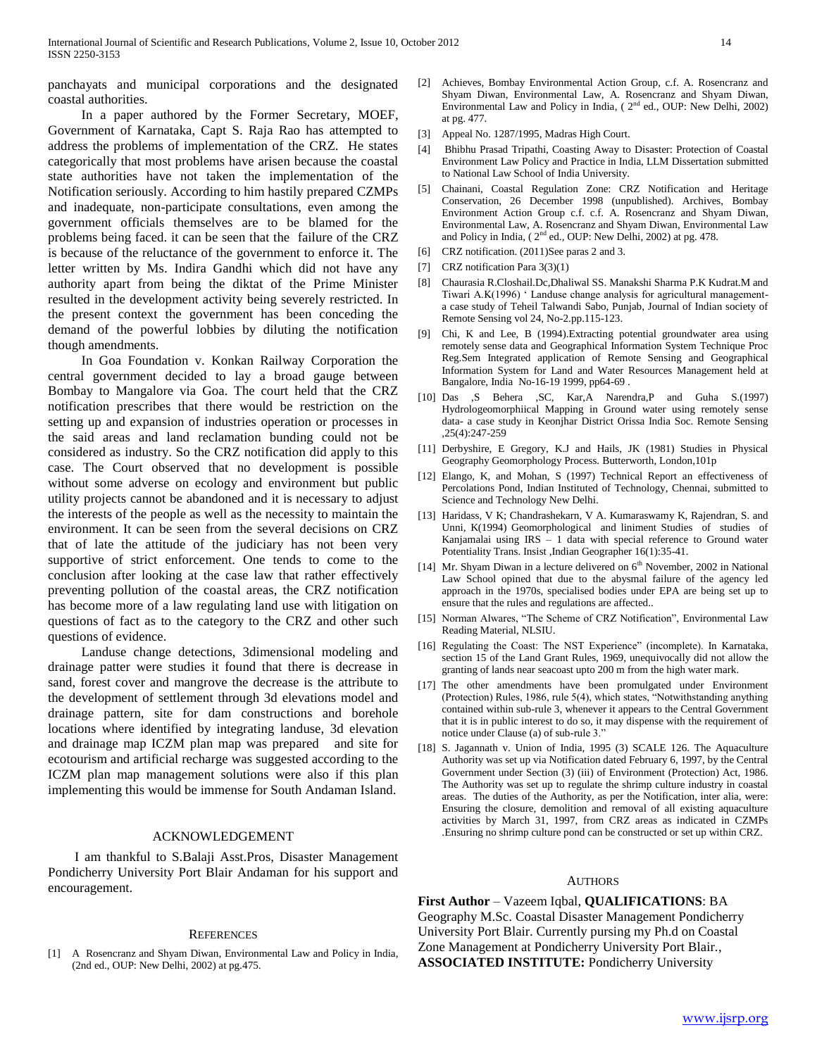panchayats and municipal corporations and the designated coastal authorities.

 In a paper authored by the Former Secretary, MOEF, Government of Karnataka, Capt S. Raja Rao has attempted to address the problems of implementation of the CRZ. He states categorically that most problems have arisen because the coastal state authorities have not taken the implementation of the Notification seriously. According to him hastily prepared CZMPs and inadequate, non-participate consultations, even among the government officials themselves are to be blamed for the problems being faced. it can be seen that the failure of the CRZ is because of the reluctance of the government to enforce it. The letter written by Ms. Indira Gandhi which did not have any authority apart from being the diktat of the Prime Minister resulted in the development activity being severely restricted. In the present context the government has been conceding the demand of the powerful lobbies by diluting the notification though amendments.

 In Goa Foundation v. Konkan Railway Corporation the central government decided to lay a broad gauge between Bombay to Mangalore via Goa. The court held that the CRZ notification prescribes that there would be restriction on the setting up and expansion of industries operation or processes in the said areas and land reclamation bunding could not be considered as industry. So the CRZ notification did apply to this case. The Court observed that no development is possible without some adverse on ecology and environment but public utility projects cannot be abandoned and it is necessary to adjust the interests of the people as well as the necessity to maintain the environment. It can be seen from the several decisions on CRZ that of late the attitude of the judiciary has not been very supportive of strict enforcement. One tends to come to the conclusion after looking at the case law that rather effectively preventing pollution of the coastal areas, the CRZ notification has become more of a law regulating land use with litigation on questions of fact as to the category to the CRZ and other such questions of evidence.

 Landuse change detections, 3dimensional modeling and drainage patter were studies it found that there is decrease in sand, forest cover and mangrove the decrease is the attribute to the development of settlement through 3d elevations model and drainage pattern, site for dam constructions and borehole locations where identified by integrating landuse, 3d elevation and drainage map ICZM plan map was prepared and site for ecotourism and artificial recharge was suggested according to the ICZM plan map management solutions were also if this plan implementing this would be immense for South Andaman Island.

#### ACKNOWLEDGEMENT

 I am thankful to S.Balaji Asst.Pros, Disaster Management Pondicherry University Port Blair Andaman for his support and encouragement.

#### **REFERENCES**

A Rosencranz and Shyam Diwan, Environmental Law and Policy in India, (2nd ed., OUP: New Delhi, 2002) at pg.475.

- [2] Achieves, Bombay Environmental Action Group, c.f. A. Rosencranz and Shyam Diwan, Environmental Law, A. Rosencranz and Shyam Diwan, Environmental Law and Policy in India,  $(2<sup>nd</sup>$  ed., OUP: New Delhi, 2002) at pg. 477.
- [3] Appeal No. 1287/1995, Madras High Court.
- [4] Bhibhu Prasad Tripathi, Coasting Away to Disaster: Protection of Coastal Environment Law Policy and Practice in India, LLM Dissertation submitted to National Law School of India University.
- [5] Chainani, Coastal Regulation Zone: CRZ Notification and Heritage Conservation, 26 December 1998 (unpublished). Archives, Bombay Environment Action Group c.f. c.f. A. Rosencranz and Shyam Diwan, Environmental Law, A. Rosencranz and Shyam Diwan, Environmental Law and Policy in India,  $(2^{nd}$  ed., OUP: New Delhi, 2002) at pg. 478.
- [6] CRZ notification. (2011)See paras 2 and 3.
- [7] CRZ notification Para 3(3)(1)
- [8] Chaurasia R.Closhail.Dc,Dhaliwal SS. Manakshi Sharma P.K Kudrat.M and Tiwari A.K(1996) " Landuse change analysis for agricultural managementa case study of Teheil Talwandi Sabo, Punjab, Journal of Indian society of Remote Sensing vol 24, No-2.pp.115-123.
- [9] Chi, K and Lee, B (1994).Extracting potential groundwater area using remotely sense data and Geographical Information System Technique Proc Reg.Sem Integrated application of Remote Sensing and Geographical Information System for Land and Water Resources Management held at Bangalore, India No-16-19 1999, pp64-69 .
- [10] Das ,S Behera ,SC, Kar,A Narendra,P and Guha S.(1997) Hydrologeomorphiical Mapping in Ground water using remotely sense data- a case study in Keonjhar District Orissa India Soc. Remote Sensing ,25(4):247-259
- [11] Derbyshire, E Gregory, K.J and Hails, JK (1981) Studies in Physical Geography Geomorphology Process. Butterworth, London,101p
- [12] Elango, K, and Mohan, S (1997) Technical Report an effectiveness of Percolations Pond, Indian Instituted of Technology, Chennai, submitted to Science and Technology New Delhi.
- [13] Haridass, V K; Chandrashekarn, V A. Kumaraswamy K, Rajendran, S. and Unni, K(1994) Geomorphological and liniment Studies of studies of Kanjamalai using IRS – 1 data with special reference to Ground water Potentiality Trans. Insist ,Indian Geographer 16(1):35-41.
- [14] Mr. Shyam Diwan in a lecture delivered on  $6<sup>th</sup>$  November, 2002 in National Law School opined that due to the abysmal failure of the agency led approach in the 1970s, specialised bodies under EPA are being set up to ensure that the rules and regulations are affected..
- [15] Norman Alwares, "The Scheme of CRZ Notification", Environmental Law Reading Material, NLSIU.
- [16] Regulating the Coast: The NST Experience" (incomplete). In Karnataka, section 15 of the Land Grant Rules, 1969, unequivocally did not allow the granting of lands near seacoast upto 200 m from the high water mark.
- [17] The other amendments have been promulgated under Environment (Protection) Rules, 1986, rule 5(4), which states, "Notwithstanding anything contained within sub-rule 3, whenever it appears to the Central Government that it is in public interest to do so, it may dispense with the requirement of notice under Clause (a) of sub-rule 3."
- [18] S. Jagannath v. Union of India, 1995 (3) SCALE 126. The Aquaculture Authority was set up via Notification dated February 6, 1997, by the Central Government under Section (3) (iii) of Environment (Protection) Act, 1986. The Authority was set up to regulate the shrimp culture industry in coastal areas. The duties of the Authority, as per the Notification, inter alia, were: Ensuring the closure, demolition and removal of all existing aquaculture activities by March 31, 1997, from CRZ areas as indicated in CZMPs .Ensuring no shrimp culture pond can be constructed or set up within CRZ.

#### AUTHORS

**First Author** – Vazeem Iqbal, **QUALIFICATIONS**: BA Geography M.Sc. Coastal Disaster Management Pondicherry University Port Blair. Currently pursing my Ph.d on Coastal Zone Management at Pondicherry University Port Blair., **ASSOCIATED INSTITUTE:** Pondicherry University